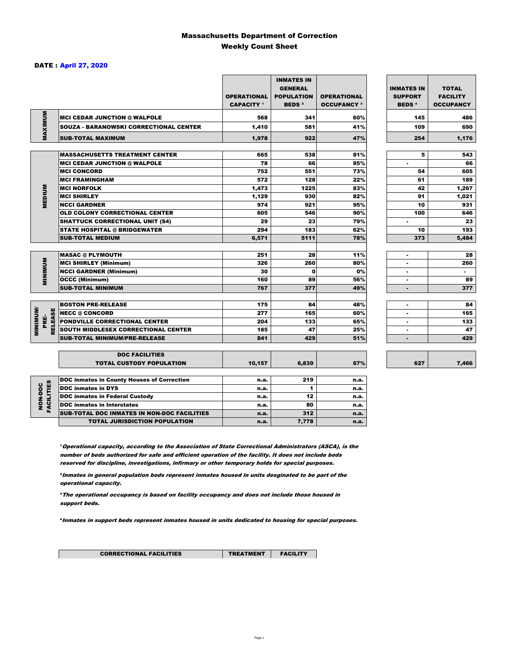### Massachusetts Department of Correction Weekly Count Sheet

### DATE : April 27, 2020

|                                   |                                                   | <b>OPERATIONAL</b><br><b>CAPACITY</b> <sup>1</sup> | <b>INMATES IN</b><br><b>GENERAL</b><br><b>POPULATION</b><br><b>BEDS<sup>2</sup></b> | <b>OPERATIONAL</b><br><b>OCCUPANCY 3</b> | <b>INMATES IN</b><br><b>SUPPORT</b><br><b>BEDS<sup>4</sup></b> | <b>TOTAL</b><br><b>FACILITY</b><br><b>OCCUPANCY</b> |
|-----------------------------------|---------------------------------------------------|----------------------------------------------------|-------------------------------------------------------------------------------------|------------------------------------------|----------------------------------------------------------------|-----------------------------------------------------|
| MAXIMUM                           | <b>MCI CEDAR JUNCTION @ WALPOLE</b>               | 568                                                | 341                                                                                 | 60%                                      | 145                                                            | 486                                                 |
|                                   | <b>SOUZA - BARANOWSKI CORRECTIONAL CENTER</b>     | 1,410                                              | 581                                                                                 | 41%                                      | 109                                                            | 690                                                 |
|                                   | <b>SUB-TOTAL MAXIMUM</b>                          | 1,978                                              | 922                                                                                 | 47%                                      | 254                                                            | 1,176                                               |
|                                   |                                                   |                                                    |                                                                                     |                                          |                                                                |                                                     |
|                                   | <b>MASSACHUSETTS TREATMENT CENTER</b>             | 665                                                | 538                                                                                 | 81%                                      | 5                                                              | 543                                                 |
|                                   | <b>MCI CEDAR JUNCTION @ WALPOLE</b>               | 78                                                 | 66                                                                                  | 85%                                      | ٠                                                              | 66                                                  |
|                                   | <b>MCI CONCORD</b>                                | 752                                                | 551                                                                                 | 73%                                      | 54                                                             | 605                                                 |
|                                   | <b>MCI FRAMINGHAM</b>                             | 572<br>1,473                                       | 128                                                                                 | 22%                                      | 61                                                             | 189                                                 |
| <b>MEDIUM</b>                     | <b>MCI NORFOLK</b>                                |                                                    | 1225                                                                                | 83%                                      | 42                                                             | 1,267                                               |
|                                   | <b>MCI SHIRLEY</b>                                | 1,129                                              | 930<br>921                                                                          | 82%                                      | 91                                                             | 1,021                                               |
|                                   | <b>NCCI GARDNER</b>                               | 974                                                |                                                                                     | 95%                                      | 10                                                             | 931                                                 |
|                                   | <b>OLD COLONY CORRECTIONAL CENTER</b>             | 605<br>29                                          | 546                                                                                 | 90%                                      | 100                                                            | 646                                                 |
|                                   | <b>SHATTUCK CORRECTIONAL UNIT (S4)</b>            |                                                    | 23                                                                                  | 79%                                      | ٠                                                              | 23                                                  |
|                                   | <b>STATE HOSPITAL @ BRIDGEWATER</b>               | 294                                                | 183                                                                                 | 62%                                      | 10                                                             | 193                                                 |
|                                   | <b>SUB-TOTAL MEDIUM</b>                           | 6,571                                              | 5111                                                                                | 78%                                      | 373                                                            | 5,484                                               |
|                                   | <b>MASAC @ PLYMOUTH</b>                           | 251                                                | 28                                                                                  | 11%                                      |                                                                | 28                                                  |
| <b>MINIMUM</b>                    | <b>MCI SHIRLEY (Minimum)</b>                      | 326                                                | 260                                                                                 | 80%                                      |                                                                | 260                                                 |
|                                   | <b>NCCI GARDNER (Minimum)</b>                     | 30                                                 | $\mathbf o$                                                                         | 0%                                       | ٠                                                              | $\sim$                                              |
|                                   | <b>OCCC (Minimum)</b>                             | 160                                                | 89                                                                                  | 56%                                      |                                                                | 89                                                  |
|                                   | <b>SUB-TOTAL MINIMUM</b>                          | 767                                                | 377                                                                                 | 49%                                      | $\blacksquare$                                                 | 377                                                 |
|                                   |                                                   |                                                    |                                                                                     |                                          |                                                                |                                                     |
|                                   | <b>BOSTON PRE-RELEASE</b>                         | 175                                                | 84                                                                                  | 48%                                      | $\overline{\phantom{a}}$                                       | 84                                                  |
| <b>MINIMINI</b><br><b>RELEASE</b> | <b>NECC @ CONCORD</b>                             | 277                                                | 165                                                                                 | 60%                                      |                                                                | 165                                                 |
| PRE-                              | <b>PONDVILLE CORRECTIONAL CENTER</b>              | 204                                                | 133                                                                                 | 65%                                      | ٠                                                              | 133                                                 |
|                                   | SOUTH MIDDLESEX CORRECTIONAL CENTER               | 185                                                | 47                                                                                  | 25%                                      | ٠                                                              | 47                                                  |
|                                   | <b>SUB-TOTAL MINIMUM/PRE-RELEASE</b>              | 841                                                | 429                                                                                 | 51%                                      | $\blacksquare$                                                 | 429                                                 |
|                                   | <b>DOC FACILITIES</b>                             |                                                    |                                                                                     |                                          |                                                                |                                                     |
|                                   | <b>TOTAL CUSTODY POPULATION</b>                   | 10,157                                             | 6,839                                                                               | 67%                                      | 627                                                            | 7,466                                               |
|                                   | <b>DOC inmates in County Houses of Correction</b> | n.a.                                               | 219                                                                                 | n.a.                                     |                                                                |                                                     |
|                                   | <b>DOC</b> inmates in DYS                         | n.a.                                               | 1                                                                                   | n.a.                                     |                                                                |                                                     |
| FACILITIES<br>NON-DOC             | <b>DOC inmates in Federal Custody</b>             | n.a.                                               | 12                                                                                  | n.a.                                     |                                                                |                                                     |
|                                   | <b>DOC</b> inmates in Interstates                 | n.a.                                               | 80                                                                                  | n.a.                                     |                                                                |                                                     |
|                                   | CUR TOTAL BOO INIMETED IN NON-BOO FACULTIED       |                                                    | 240                                                                                 |                                          |                                                                |                                                     |

**Operational capacity, according to the Association of State Correctional Administrators (ASCA), is the** number of beds authorized for safe and efficient operation of the facility. It does not include beds reserved for discipline, investigations, infirmary or other temporary holds for special purposes.

SUB-TOTAL DOC INMATES IN NON-DOC FACILITIES **n.a.** 1.a. 312 n.a. TOTAL JURISDICTION POPULATION **n.a.** 7,778 n.a.

²Inmates in general population beds represent inmates housed in units desginated to be part of the operational capacity.

³The operational occupancy is based on facility occupancy and does not include those housed in support beds.

⁴Inmates in support beds represent inmates housed in units dedicated to housing for special purposes.

CORRECTIONAL FACILITIES **TREATMENT** FACILITY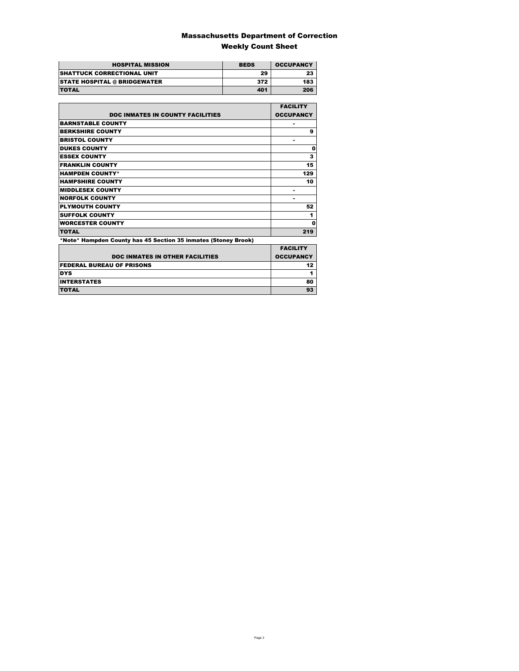### Massachusetts Department of Correction Weekly Count Sheet

| <b>HOSPITAL MISSION</b>             | <b>BEDS</b> | <b>OCCUPANCY</b> |
|-------------------------------------|-------------|------------------|
| <b>SHATTUCK CORRECTIONAL UNIT</b>   | 29          | 23               |
| <b>STATE HOSPITAL @ BRIDGEWATER</b> | 372         | 183              |
| <b>TOTAL</b>                        | 401         | 206              |

|                                                                | <b>FACILITY</b>  |
|----------------------------------------------------------------|------------------|
| <b>DOC INMATES IN COUNTY FACILITIES</b>                        | <b>OCCUPANCY</b> |
| <b>BARNSTABLE COUNTY</b>                                       |                  |
| <b>BERKSHIRE COUNTY</b>                                        | 9                |
| <b>BRISTOL COUNTY</b>                                          |                  |
| <b>DUKES COUNTY</b>                                            | Ω                |
| <b>ESSEX COUNTY</b>                                            | 3                |
| <b>FRANKLIN COUNTY</b>                                         | 15               |
| <b>HAMPDEN COUNTY*</b>                                         | 129              |
| <b>HAMPSHIRE COUNTY</b>                                        | 10               |
| <b>MIDDLESEX COUNTY</b>                                        | -                |
| <b>NORFOLK COUNTY</b>                                          | ۰                |
| <b>PLYMOUTH COUNTY</b>                                         | 52               |
| <b>SUFFOLK COUNTY</b>                                          | 1                |
| <b>WORCESTER COUNTY</b>                                        | Ω                |
| <b>TOTAL</b>                                                   | 219              |
| *Note* Hampden County has 45 Section 35 inmates (Stoney Brook) |                  |
|                                                                | <b>EACH ITV</b>  |

| <b>DOC INMATES IN OTHER FACILITIES</b> | <b>FACILITY</b><br><b>OCCUPANCY</b> |
|----------------------------------------|-------------------------------------|
| <b>FEDERAL BUREAU OF PRISONS</b>       |                                     |
| <b>DYS</b>                             |                                     |
| <b>INTERSTATES</b>                     | 80                                  |
| <b>TOTAL</b>                           |                                     |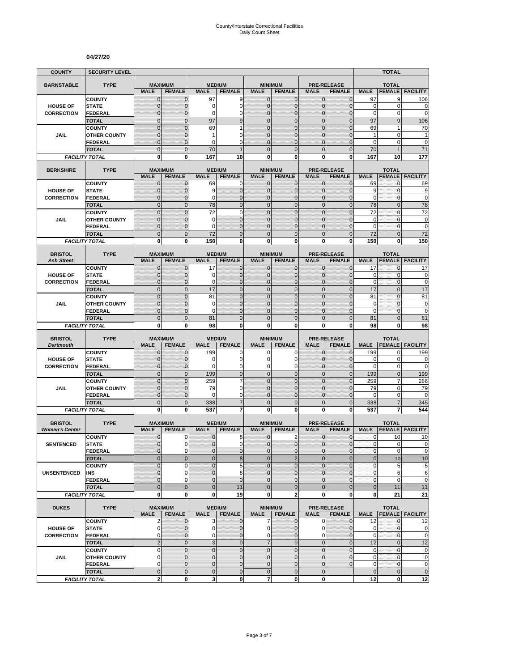#### **04/27/20**

| <b>COUNTY</b>         | <b>SECURITY LEVEL</b>                 |                               |                               |                               |                                  |                               |                                  |                              |                                  |                           | <b>TOTAL</b>       |                            |
|-----------------------|---------------------------------------|-------------------------------|-------------------------------|-------------------------------|----------------------------------|-------------------------------|----------------------------------|------------------------------|----------------------------------|---------------------------|--------------------|----------------------------|
| <b>BARNSTABLE</b>     | <b>TYPE</b>                           | <b>MAXIMUM</b>                |                               | <b>MEDIUM</b>                 |                                  |                               | <b>MINIMUM</b>                   |                              | <b>PRE-RELEASE</b>               |                           | <b>TOTAL</b>       |                            |
|                       |                                       | <b>MALE</b>                   | <b>FEMALE</b>                 | <b>MALE</b>                   | <b>FEMALE</b>                    | <b>MALE</b>                   | <b>FEMALE</b>                    | <b>MALE</b>                  | <b>FEMALE</b>                    | <b>MALE</b>               | <b>FEMALE</b>      | <b>FACILITY</b>            |
|                       | <b>COUNTY</b>                         | $\mathbf 0$                   | $\mathbf{0}$                  | 97                            | 9                                | $\mathbf{0}$                  | 0                                | $\mathbf{0}$                 | $\mathbf 0$                      | 97                        | 9                  | 106                        |
| <b>HOUSE OF</b>       | <b>STATE</b>                          | 0                             | $\mathbf{0}$                  | 0                             | 0                                | $\mathbf{0}$                  | 0                                | $\mathbf{0}$                 | $\mathbf 0$                      | 0                         | 0                  | $\mathbf 0$                |
| <b>CORRECTION</b>     | <b>FEDERAL</b><br><b>TOTAL</b>        | $\overline{0}$<br>$\mathbf 0$ | $\Omega$<br>$\mathbf{0}$      | 0<br>97                       | 0<br>$\overline{9}$              | $\mathbf{0}$<br>$\mathbf{0}$  | $\overline{0}$<br>$\mathbf 0$    | $\Omega$<br>$\mathbf{0}$     | $\overline{0}$<br>$\overline{0}$ | $\mathbf 0$<br>97         | 0<br>9             | $\mathbf 0$<br>106         |
|                       | <b>COUNTY</b>                         | $\mathbf 0$                   | $\mathbf{0}$                  | 69                            | 1                                | $\mathbf{0}$                  | $\mathbf 0$                      | $\mathbf 0$                  | $\mathbf 0$                      | 69                        | $\mathbf{1}$       | 70                         |
| JAIL                  | <b>OTHER COUNTY</b>                   | $\overline{0}$                | $\Omega$                      | 1                             | 0                                | $\Omega$                      | $\overline{0}$                   | $\Omega$                     | $\overline{0}$                   | 1                         | 0                  | 1                          |
|                       | <b>FEDERAL</b>                        | 0                             | $\mathbf{0}$                  | 0                             | 0                                | $\mathbf{0}$                  | 0                                | $\mathbf 0$                  | $\mathbf{0}$                     | 0                         | 0                  | $\mathbf 0$                |
|                       | <b>TOTAL</b>                          | $\overline{0}$                | $\overline{0}$                | 70                            | $\overline{1}$                   | $\Omega$                      | $\overline{0}$                   | $\Omega$                     | $\overline{0}$                   | 70                        | 1                  | 71                         |
|                       | <b>FACILITY TOTAL</b>                 | $\mathbf{0}$                  | $\mathbf{0}$                  | 167                           | 10                               | $\mathbf{0}$                  | $\bf{0}$                         | 0                            | $\mathbf{0}$                     | 167                       | 10                 | 177                        |
| <b>BERKSHIRE</b>      | <b>TYPE</b>                           | <b>MAXIMUM</b>                |                               |                               | <b>MEDIUM</b>                    |                               | <b>MINIMUM</b>                   |                              | <b>PRE-RELEASE</b>               |                           | <b>TOTAL</b>       |                            |
|                       |                                       | <b>MALE</b>                   | <b>FEMALE</b>                 | <b>MALE</b>                   | <b>FEMALE</b>                    | <b>MALE</b>                   | <b>FEMALE</b>                    | <b>MALE</b>                  | <b>FEMALE</b>                    | <b>MALE</b>               | <b>FEMALE</b>      | <b>FACILITY</b>            |
|                       | <b>COUNTY</b>                         | 0                             | $\mathbf 0$                   | 69                            | 0                                | $\mathbf{0}$                  | $\mathbf{0}$                     | $\mathbf{0}$                 | $\mathbf{0}$                     | 69                        | 0                  | 69                         |
| <b>HOUSE OF</b>       | <b>STATE</b>                          | $\mathbf 0$                   | $\mathbf{0}$                  | 9                             | $\mathbf 0$                      | $\mathbf{0}$                  | $\mathbf 0$                      | $\mathbf{0}$                 | $\overline{0}$                   | 9                         | $\mathbf{0}$       | 9                          |
| <b>CORRECTION</b>     | <b>FEDERAL</b>                        | $\mathbf{0}$                  | $\mathbf{0}$                  | 0                             | $\mathbf{0}$                     | $\mathbf{0}$                  | $\mathbf{0}$                     | $\mathbf{0}$                 | $\overline{0}$                   | $\mathbf 0$               | $\mathbf{0}$       | $\mathbf 0$                |
|                       | <b>TOTAL</b>                          | $\overline{0}$                | $\mathbf{0}$                  | 78                            | $\overline{0}$                   | $\Omega$                      | $\overline{0}$                   | $\overline{0}$               | $\overline{0}$                   | 78                        | $\overline{0}$     | 78                         |
|                       | <b>COUNTY</b>                         | $\overline{0}$                | $\Omega$                      | 72                            | $\overline{0}$<br>$\overline{0}$ | $\mathbf 0$                   | $\overline{0}$                   | $\overline{0}$               | $\overline{0}$                   | 72                        | $\mathbf 0$        | 72                         |
| <b>JAIL</b>           | <b>OTHER COUNTY</b><br><b>FEDERAL</b> | $\mathbf 0$<br>$\overline{0}$ | $\mathbf{0}$<br>$\mathbf{0}$  | 0<br>0                        | $\overline{0}$                   | $\mathbf{0}$<br>$\mathbf{0}$  | $\mathbf 0$<br>$\overline{0}$    | $\mathbf 0$<br>$\mathbf 0$   | $\overline{0}$<br>$\mathbf 0$    | 0<br>$\mathbf 0$          | 0<br>$\mathbf{0}$  | 0<br>$\mathbf 0$           |
|                       | <b>TOTAL</b>                          | $\mathbf 0$                   | $\mathbf{0}$                  | 72                            | $\mathbf 0$                      | $\overline{0}$                | $\mathbf 0$                      | $\mathbf{0}$                 | $\mathbf 0$                      | 72                        | $\mathbf{0}$       | 72                         |
|                       | <b>FACILITY TOTAL</b>                 | $\mathbf 0$                   | $\bf{0}$                      | 150                           | $\mathbf 0$                      | 0                             | $\mathbf 0$                      | 0                            | $\mathbf{0}$                     | 150                       | 0                  | 150                        |
|                       |                                       |                               |                               |                               |                                  |                               |                                  |                              |                                  |                           |                    |                            |
| <b>BRISTOL</b>        | <b>TYPE</b>                           | <b>MAXIMUM</b>                |                               |                               | <b>MEDIUM</b>                    |                               | <b>MINIMUM</b>                   |                              | <b>PRE-RELEASE</b>               |                           | <b>TOTAL</b>       |                            |
| <b>Ash Street</b>     |                                       | <b>MALE</b><br>$\mathbf 0$    | <b>FEMALE</b>                 | <b>MALE</b>                   | <b>FEMALE</b><br>$\mathbf 0$     | <b>MALE</b><br>$\mathbf{0}$   | <b>FEMALE</b><br>$\mathbf{0}$    | <b>MALE</b><br>$\mathbf{0}$  | <b>FEMALE</b><br>$\overline{0}$  | <b>MALE</b><br>17         | <b>FEMALE</b><br>0 | <b>FACILITY</b><br>17      |
| <b>HOUSE OF</b>       | <b>COUNTY</b><br><b>STATE</b>         | 0                             | $\mathbf 0$<br>$\mathbf{0}$   | 17<br>0                       | $\mathbf 0$                      | $\Omega$                      | 0                                | $\mathbf{0}$                 | $\mathbf{0}$                     | $\mathbf 0$               | $\mathbf{0}$       | $\bf{0}$                   |
| <b>CORRECTION</b>     | <b>FEDERAL</b>                        | $\overline{0}$                | $\mathbf{0}$                  | 0                             | $\mathbf 0$                      | $\mathbf{0}$                  | $\mathbf 0$                      | $\mathbf{0}$                 | $\mathbf 0$                      | $\mathbf 0$               | $\mathbf{0}$       | $\mathbf 0$                |
|                       | <b>TOTAL</b>                          | $\mathbf 0$                   | $\mathbf{0}$                  | 17                            | $\mathbf 0$                      | $\mathbf{0}$                  | $\mathbf 0$                      | $\mathbf{0}$                 | $\mathbf 0$                      | 17                        | $\overline{0}$     | 17                         |
|                       | <b>COUNTY</b>                         | $\overline{0}$                | $\mathbf{0}$                  | 81                            | $\Omega$                         | $\Omega$                      | $\overline{0}$                   | $\Omega$                     | $\overline{0}$                   | 81                        | $\mathbf{0}$       | 81                         |
| JAIL                  | <b>OTHER COUNTY</b>                   | $\overline{0}$                | $\mathbf 0$                   | 0                             | $\overline{0}$                   | $\mathbf{0}$                  | $\overline{0}$                   | 0                            | $\overline{0}$                   | $\mathbf 0$               | $\mathbf 0$        | $\mathbf 0$                |
|                       | <b>FEDERAL</b>                        | $\mathbf 0$                   | $\mathbf{0}$                  | 0                             | $\overline{0}$                   | $\mathbf{0}$                  | 0                                | $\Omega$                     | $\overline{0}$                   | 0                         | 0                  | $\bf{0}$                   |
|                       | <b>TOTAL</b>                          | $\overline{0}$                | $\overline{0}$                | 81                            | $\overline{0}$                   | $\overline{0}$                | $\overline{0}$                   | $\Omega$                     | $\overline{0}$                   | 81                        | $\overline{0}$     | 81                         |
|                       | <b>FACILITY TOTAL</b>                 | 0                             | 0                             | 98                            | 0                                | 0                             | 0                                | 0                            | 0                                | 98                        | 0                  | 98                         |
| <b>BRISTOL</b>        | <b>TYPE</b>                           | <b>MAXIMUM</b>                |                               |                               | <b>MEDIUM</b>                    |                               | <b>MINIMUM</b>                   |                              | <b>PRE-RELEASE</b>               |                           | <b>TOTAL</b>       |                            |
| <b>Dartmouth</b>      |                                       | <b>MALE</b>                   | <b>FEMALE</b>                 | <b>MALE</b>                   | <b>FEMALE</b>                    | <b>MALE</b>                   | <b>FEMALE</b>                    | <b>MALE</b>                  | <b>FEMALE</b>                    | <b>MALE</b>               | <b>FEMALE</b>      | <b>FACILITY</b>            |
|                       | <b>COUNTY</b>                         | 0                             | $\mathbf{0}$                  | 199                           | 0                                | 0                             | 0                                | $\mathbf 0$                  | $\overline{0}$                   | 199                       | 0                  | 199                        |
| <b>HOUSE OF</b>       | <b>STATE</b>                          | 0<br>$\mathbf 0$              | $\mathbf{0}$<br>$\mathbf{0}$  | 0<br>0                        | 0<br>0                           | 0<br>0                        | 0<br>0                           | $\mathbf 0$<br>$\mathbf 0$   | $\mathbf 0$<br>$\mathbf{0}$      | 0<br>$\mathbf 0$          | 0<br>0             | $\mathbf 0$<br>$\mathbf 0$ |
| <b>CORRECTION</b>     | <b>FEDERAL</b><br><b>TOTAL</b>        | $\overline{0}$                | $\mathbf{0}$                  | 199                           | $\overline{0}$                   | $\mathbf{0}$                  | $\overline{0}$                   | $\mathbf{0}$                 | $\overline{0}$                   | 199                       | $\overline{0}$     | 199                        |
|                       | <b>COUNTY</b>                         | $\mathbf 0$                   | $\mathbf{0}$                  | 259                           | 7                                | $\mathbf{0}$                  | $\mathbf 0$                      | $\mathbf{0}$                 | $\mathbf 0$                      | 259                       | 7                  | 266                        |
| <b>JAIL</b>           | <b>OTHER COUNTY</b>                   | $\overline{0}$                | $\Omega$                      | 79                            | $\overline{0}$                   | $\Omega$                      | $\overline{0}$                   | $\Omega$                     | $\Omega$                         | 79                        | 0                  | 79                         |
|                       | <b>FEDERAL</b>                        | $\mathbf 0$                   | $\mathbf{0}$                  | 0                             | 0                                | $\mathbf 0$                   | $\mathbf 0$                      | $\mathbf 0$                  | $\overline{0}$                   | $\mathbf 0$               | $\mathbf 0$        | $\mathbf 0$                |
|                       | <b>TOTAL</b>                          | $\mathbf 0$                   | $\overline{0}$                | 338                           | $\overline{7}$                   | $\mathbf{0}$                  | $\mathbf 0$                      | $\overline{0}$               | $\mathbf 0$                      | 338                       | $\overline{7}$     | 345                        |
|                       | <b>FACILITY TOTAL</b>                 | 0                             | $\mathbf{0}$                  | 537                           | 7                                | $\mathbf{0}$                  | $\bf{0}$                         | 0                            | 0                                | 537                       | 7                  | 544                        |
| <b>BRISTOL</b>        | <b>TYPE</b>                           | <b>MAXIMUM</b>                |                               |                               | <b>MEDIUM</b>                    |                               | <b>MINIMUM</b>                   |                              | <b>PRE-RELEASE</b>               |                           | <b>TOTAL</b>       |                            |
| <b>Women's Center</b> |                                       | <b>MALE</b>                   | <b>FEMALE</b>                 | <b>MALE</b>                   | <b>FEMALE</b>                    | <b>MALE</b>                   | <b>FEMALE</b>                    | <b>MALE</b>                  | <b>FEMALE</b>                    | <b>MALE</b>               | <b>FEMALE</b>      | <b>FACILITY</b>            |
|                       | <b>COUNTY</b>                         | 0                             | 0                             | $\mathbf 0$                   | 8                                | $\mathbf 0$                   | $\overline{2}$                   | $\mathbf{0}$                 | $\mathbf{0}$                     | $\mathbf{0}$              | 10                 | 10                         |
| <b>SENTENCED</b>      | <b>STATE</b>                          | $\Omega$                      | $\Omega$                      | $\Omega$                      | $\Omega$                         | $\Omega$                      | $\Omega$                         | $\Omega$                     | $\Omega$                         | $\mathbf{0}$              | $\mathbf 0$        | $\mathbf 0$                |
|                       | <b>FEDERAL</b>                        | $\mathbf 0$                   | $\mathbf 0$                   | $\pmb{0}$                     | $\mathbf{0}$                     | $\mathbf{0}$                  | $\mathbf{0}$                     | $\mathbf 0$                  | $\mathbf 0$                      | $\pmb{0}$                 | 0                  | $\pmb{0}$                  |
|                       | <b>TOTAL</b>                          | $\mathbf 0$                   | $\mathbf{0}$                  | $\mathbf 0$                   | 8                                | $\mathbf 0$                   | $\overline{2}$                   | $\mathbf{0}$                 | $\overline{0}$                   | $\mathbf 0$               | 10                 | 10                         |
|                       | <b>COUNTY</b>                         | $\mathbf 0$                   | 0                             | 0                             | 5                                | $\mathbf{0}$                  | $\mathbf 0$                      | $\mathbf{0}$                 | $\mathbf 0$                      | $\pmb{0}$                 | 5                  | 5                          |
| <b>UNSENTENCED</b>    | INS                                   | 0<br>$\mathbf 0$              | $\mathbf 0$<br>$\mathbf 0$    | $\mathbf 0$<br>$\overline{0}$ | 6<br>$\overline{0}$              | $\mathbf{0}$<br>$\mathbf{0}$  | $\overline{0}$<br>$\overline{0}$ | $\mathbf{0}$<br>$\mathbf{0}$ | $\mathbf{0}$<br>$\mathbf 0$      | $\mathbf{0}$<br>$\pmb{0}$ | 6<br>$\mathbf 0$   | 6<br>$\mathbf 0$           |
|                       | <b>FEDERAL</b><br><b>TOTAL</b>        | $\overline{0}$                | $\mathbf{0}$                  | $\mathbf 0$                   | 11                               | $\overline{0}$                | $\mathbf{0}$                     | $\mathbf{0}$                 | $\mathbf 0$                      | $\bf 0$                   | 11                 | 11                         |
|                       | <b>FACILITY TOTAL</b>                 | $\mathbf{0}$                  | $\bf{0}$                      | 0                             | 19                               | 0                             | $\overline{a}$                   | $\mathbf{0}$                 | 0                                | 0                         | 21                 | 21                         |
|                       |                                       |                               |                               |                               |                                  |                               |                                  |                              |                                  |                           |                    |                            |
| <b>DUKES</b>          | <b>TYPE</b>                           | <b>MAXIMUM</b>                |                               |                               | <b>MEDIUM</b>                    |                               | <b>MINIMUM</b>                   |                              | <b>PRE-RELEASE</b>               |                           | <b>TOTAL</b>       |                            |
|                       | <b>COUNTY</b>                         | <b>MALE</b><br>2              | <b>FEMALE</b><br>$\mathbf{0}$ | <b>MALE</b><br>3              | <b>FEMALE</b><br>$\mathbf 0$     | <b>MALE</b><br>$\overline{7}$ | <b>FEMALE</b><br>$\mathbf{0}$    | <b>MALE</b><br>$\mathbf 0$   | <b>FEMALE</b><br>$\mathbf 0$     | <b>MALE</b><br>12         |                    | <b>FEMALE FACILITY</b>     |
| <b>HOUSE OF</b>       | <b>STATE</b>                          | $\mathbf 0$                   | $\mathbf 0$                   | 0                             | $\mathbf 0$                      | $\overline{0}$                | 0                                | 0                            | $\mathbf 0$                      | $\mathbf 0$               | 0<br>$\mathbf 0$   | 12<br>$\mathbf 0$          |
| <b>CORRECTION</b>     | <b>FEDERAL</b>                        | 0                             | $\mathbf 0$                   | 0                             | 0                                | $\mathbf{0}$                  | 0                                | 0                            | $\overline{0}$                   | 0                         | 0                  | $\mathbf 0$                |
|                       | <b>TOTAL</b>                          | $\mathbf 2$                   | $\mathbf{0}$                  | 3                             | $\mathbf 0$                      | $\overline{7}$                | $\mathbf 0$                      | $\mathbf{0}$                 | $\overline{0}$                   | 12                        | $\mathbf 0$        | 12                         |
|                       | <b>COUNTY</b>                         | $\pmb{0}$                     | $\mathbf 0$                   | $\mathbf 0$                   | $\mathbf 0$                      | $\mathbf 0$                   | $\mathbf 0$                      | $\mathbf 0$                  | $\mathbf 0$                      | $\mathbf 0$               | $\mathbf{0}$       | $\pmb{0}$                  |
| <b>JAIL</b>           | <b>OTHER COUNTY</b>                   | 0                             | $\mathbf{0}$                  | $\mathbf{0}$                  | $\overline{0}$                   | $\mathbf{0}$                  | $\mathbf{0}$                     | $\mathbf{0}$                 | $\mathbf{0}$                     | $\pmb{0}$                 | $\mathbf 0$        | $\pmb{0}$                  |
|                       | <b>FEDERAL</b>                        | 0                             | $\mathbf{0}$                  | $\pmb{0}$                     | $\mathbf 0$                      | $\mathbf{0}$                  | 0                                | $\mathbf{0}$                 | $\mathbf 0$                      | $\pmb{0}$                 | $\mathbf 0$        | $\pmb{0}$                  |
|                       | <b>TOTAL</b>                          | $\mathbf 0$                   | $\mathbf{0}$                  | $\mathbf 0$                   | $\mathbf 0$                      | $\mathbf 0$                   | $\mathbf 0$                      | $\mathbf{0}$                 |                                  | $\mathbf 0$               | $\mathbf 0$        | $\pmb{0}$                  |
|                       | <b>FACILITY TOTAL</b>                 | $\overline{\mathbf{2}}$       | $\mathbf{0}$                  | 3                             | 0                                | $\overline{7}$                | 0                                | $\mathbf{0}$                 |                                  | 12                        | 0                  | 12                         |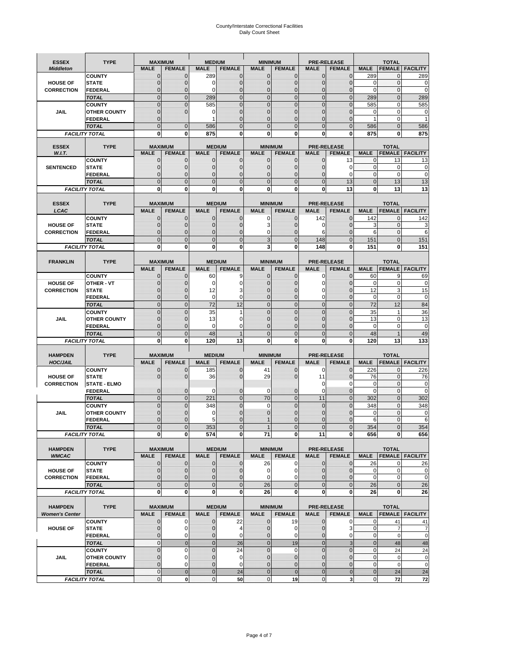# County/Interstate Correctional Facilities Daily Count Sheet

| <b>ESSEX</b>          | <b>TYPE</b>                           |                                | <b>MAXIMUM</b>                   | <b>MEDIUM</b>                    |                                | <b>MINIMUM</b>               |                            |                               | <b>PRE-RELEASE</b>                  |                               | <b>TOTAL</b>                           |                          |
|-----------------------|---------------------------------------|--------------------------------|----------------------------------|----------------------------------|--------------------------------|------------------------------|----------------------------|-------------------------------|-------------------------------------|-------------------------------|----------------------------------------|--------------------------|
| <b>Middleton</b>      |                                       | <b>MALE</b>                    | <b>FEMALE</b>                    | <b>MALE</b>                      | <b>FEMALE</b>                  | <b>MALE</b>                  | <b>FEMALE</b>              | MALE                          | <b>FEMALE</b>                       | <b>MALE</b>                   | <b>FEMALE</b>                          | <b>FACILITY</b>          |
|                       | <b>COUNTY</b>                         | 0                              | 0                                | 289                              | 0                              | $\mathbf 0$                  | $\mathbf{0}$               | $\mathbf{0}$                  | $\Omega$                            | 289                           | 0                                      | 289                      |
| <b>HOUSE OF</b>       | <b>STATE</b>                          | 0                              | $\mathbf 0$                      | $\Omega$                         | 0                              | $\mathbf{0}$                 | $\Omega$                   | $\mathbf 0$                   | $\Omega$                            | $\Omega$                      | $\Omega$                               | 0                        |
| <b>CORRECTION</b>     | <b>FEDERAL</b>                        | 0                              | $\mathbf 0$                      | 0                                | 0                              | $\mathbf{0}$                 | $\mathbf 0$                | $\mathbf{0}$                  | $\mathbf 0$                         | $\mathbf 0$                   | $\mathbf{0}$                           | $\mathbf 0$              |
|                       | <b>TOTAL</b><br><b>COUNTY</b>         | $\overline{0}$<br>$\mathbf{0}$ | $\overline{0}$<br>$\overline{0}$ | 289<br>585                       | $\mathbf 0$<br>$\overline{0}$  | $\mathbf 0$<br>$\mathbf{0}$  | $\overline{0}$<br>$\Omega$ | $\mathbf 0$<br>$\mathbf 0$    | $\overline{0}$<br>$\Omega$          | 289<br>585                    | $\mathbf{0}$<br>$\mathbf 0$            | 289<br>585               |
| JAIL                  | <b>OTHER COUNTY</b>                   | $\mathbf 0$                    | $\overline{0}$                   | 0                                | 0                              | $\mathbf{0}$                 | $\mathbf{0}$               | $\mathbf 0$                   | ſ                                   | 0                             | $\mathbf 0$                            | 0                        |
|                       | <b>FEDERAL</b>                        | $\mathbf{0}$                   |                                  |                                  | $\Omega$                       | $\mathbf{0}$                 | $\Omega$                   | $\mathbf{0}$                  | 0                                   | 1                             | $\mathbf 0$                            |                          |
|                       | <b>TOTAL</b>                          | $\overline{0}$                 | $\mathbf 0$                      | 586                              | $\Omega$                       | $\Omega$                     | $\Omega$                   | $\overline{0}$                | $\Omega$                            | 586                           | $\Omega$                               | 586                      |
|                       | <b>FACILITY TOTAL</b>                 | 0                              | 0                                | 875                              | O                              | $\bf{0}$                     | 0                          | 0                             | 0                                   | 875                           | 0                                      | 875                      |
| <b>ESSEX</b>          | <b>TYPE</b>                           |                                | <b>MAXIMUM</b>                   |                                  |                                |                              | <b>MINIMUM</b>             |                               |                                     |                               |                                        |                          |
| W.I.T.                |                                       | <b>MALE</b>                    | <b>FEMALE</b>                    | <b>MALE</b>                      | <b>MEDIUM</b><br><b>FEMALE</b> | <b>MALE</b>                  | <b>FEMALE</b>              | <b>MALE</b>                   | <b>PRE-RELEASE</b><br><b>FEMALE</b> | <b>MALE</b>                   | <b>TOTAL</b><br><b>FEMALE</b>          | FACILITY                 |
|                       | <b>COUNTY</b>                         | $\mathbf{0}$                   | 0                                | $\mathbf 0$                      | 0                              | $\mathbf 0$                  | $\mathbf{0}$               | 0                             | 13                                  | 0                             | 13                                     | 13                       |
| <b>SENTENCED</b>      | <b>STATE</b>                          | 0                              | $\mathbf 0$                      | $\mathbf{0}$                     | $\mathbf 0$                    | $\mathbf{0}$                 | $\mathbf{0}$               | $\mathbf{0}$                  | $\Omega$                            | $\mathbf 0$                   | $\mathbf 0$                            | 0                        |
|                       | <b>FEDERAL</b>                        | $\mathbf 0$                    | $\mathbf 0$                      | $\mathbf{0}$                     | 0                              | $\mathbf{0}$                 | 0                          | $\mathbf 0$                   | $\Omega$                            | $\mathbf{0}$                  | $\Omega$                               | $\mathbf 0$              |
|                       | <b>TOTAL</b>                          | $\overline{0}$                 | $\overline{0}$                   | $\mathbf 0$                      | $\overline{0}$                 | $\mathbf{0}$                 | $\overline{0}$             | $\overline{0}$                | 13                                  | $\mathbf{0}$                  | 13                                     | 13                       |
|                       | <b>FACILITY TOTAL</b>                 | 0                              | 0                                | $\bf{0}$                         | O                              | $\bf{0}$                     | 0                          | 0                             | 13                                  | $\bf{0}$                      | 13                                     | 13                       |
| <b>ESSEX</b>          | <b>TYPE</b>                           |                                | <b>MAXIMUM</b>                   |                                  | <b>MEDIUM</b>                  |                              | <b>MINIMUM</b>             |                               | <b>PRE-RELEASE</b>                  |                               | <b>TOTAL</b>                           |                          |
| LCAC                  |                                       | <b>MALE</b>                    | <b>FEMALE</b>                    | <b>MALE</b>                      | <b>FEMALE</b>                  | <b>MALE</b>                  | <b>FEMALE</b>              | <b>MALE</b>                   | <b>FEMALE</b>                       | <b>MALE</b>                   |                                        | <b>FEMALE   FACILITY</b> |
|                       | <b>COUNTY</b>                         | 0                              | 0                                | $\mathbf{0}$                     | 0                              | 0                            | $\mathbf{0}$               | 142                           | $\Omega$                            | 142                           | $\Omega$                               | 142                      |
| <b>HOUSE OF</b>       | <b>STATE</b>                          | 0                              | $\overline{0}$                   | $\mathbf 0$                      | 0                              | 3                            | $\Omega$                   | 0                             | $\Omega$                            | 3                             | $\mathbf 0$                            | 3                        |
| <b>CORRECTION</b>     | FEDERAL                               | 0                              | 0                                | $\mathbf{0}$                     | 0                              | 0                            | $\Omega$                   | 6                             | $\mathbf 0$                         | 6                             | $\mathbf 0$                            | 6                        |
|                       | <b>TOTAL</b>                          | $\Omega$                       | $\overline{0}$                   | $\mathbf{0}$                     | $\overline{0}$                 | 3                            | $\Omega$                   | 148                           | $\Omega$                            | 151                           | $\Omega$                               | 151                      |
|                       | <b>FACILITY TOTAL</b>                 | 0                              | 0                                | 0                                | 0                              | 3                            | 0                          | 148                           | 0                                   | 151                           | 0                                      | 151                      |
|                       | <b>TYPE</b>                           |                                | <b>MAXIMUM</b>                   |                                  | <b>MEDIUM</b>                  |                              | <b>MINIMUM</b>             |                               | <b>PRE-RELEASE</b>                  |                               | <b>TOTAL</b>                           |                          |
| <b>FRANKLIN</b>       |                                       | <b>MALE</b>                    | <b>FEMALE</b>                    | <b>MALE</b>                      | <b>FEMALE</b>                  | <b>MALE</b>                  | <b>FEMALE</b>              | <b>MALE</b>                   | <b>FEMALE</b>                       | <b>MALE</b>                   | <b>FEMALE</b>                          | <b>FACILITY</b>          |
|                       | <b>COUNTY</b>                         | $\mathbf 0$                    | 0                                | 60                               | 9                              | $\mathbf{0}$                 | 0                          | 0                             | $\Omega$                            | 60                            | 9                                      | 69                       |
| <b>HOUSE OF</b>       | <b>OTHER - VT</b>                     | 0                              | $\overline{0}$                   | $\mathbf 0$                      | 0                              | $\mathbf{0}$                 | $\mathbf 0$                | $\mathbf 0$                   | $\Omega$                            | $\mathbf 0$                   | $\mathbf 0$                            | 0                        |
| <b>CORRECTION</b>     | <b>STATE</b>                          | $\Omega$                       | $\mathbf 0$                      | 12                               | 3                              | $\Omega$                     | $\Omega$                   | 0                             | $\sqrt{ }$                          | 12                            | 3                                      | 15                       |
|                       | FEDERAL                               | $\mathbf{0}$                   | $\overline{0}$                   | $\mathbf 0$                      | 0                              | $\mathbf{0}$                 | $\mathbf{0}$               | 0                             | $\overline{0}$                      | $\mathbf 0$                   | $\mathbf 0$                            | $\pmb{0}$                |
|                       | <b>TOTAL</b>                          | $\overline{0}$                 | $\mathbf{0}$                     | 72                               | 12                             | $\mathbf{0}$                 | $\mathbf{0}$               | $\mathbf 0$                   | $\overline{0}$                      | 72                            | 12                                     | 84                       |
|                       | <b>COUNTY</b>                         | $\Omega$                       | $\overline{0}$                   | 35                               | 1                              | $\Omega$<br>$\mathbf 0$      | $\Omega$                   | $\mathbf 0$<br>$\overline{0}$ | $\Omega$<br>$\sqrt{ }$              | 35<br>13                      | $\overline{\mathbf{1}}$<br>$\mathbf 0$ | 36                       |
| JAIL                  | <b>OTHER COUNTY</b><br><b>FEDERAL</b> | 0<br>0                         | $\mathbf 0$<br>0                 | 13<br>0                          | 0<br>0                         | $\mathbf{0}$                 | $\Omega$<br>$\Omega$       | $\mathbf{0}$                  | $\Omega$                            | $\mathbf 0$                   | $\mathbf 0$                            | 13<br>$\mathbf 0$        |
|                       | <b>TOTAL</b>                          | $\mathbf 0$                    | $\overline{0}$                   | 48                               | 1                              | $\mathbf{0}$                 | $\Omega$                   | $\overline{0}$                | $\Omega$                            | 48                            | $\overline{1}$                         | 49                       |
|                       | <b>FACILITY TOTAL</b>                 | 0                              | 0                                | 120                              | 13                             | $\bf{0}$                     | 0                          | 0                             | 0                                   | 120                           | 13                                     | 133                      |
|                       |                                       |                                |                                  |                                  |                                |                              |                            |                               |                                     |                               |                                        |                          |
| <b>HAMPDEN</b>        | <b>TYPE</b>                           |                                | <b>MAXIMUM</b>                   | <b>MEDIUM</b>                    |                                | <b>MINIMUM</b>               |                            |                               | <b>PRE-RELEASE</b>                  |                               | <b>TOTAL</b>                           |                          |
| <b>HOC/JAIL</b>       |                                       | <b>MALE</b>                    | <b>FEMALE</b>                    | <b>MALE</b>                      | <b>FEMALE</b>                  | <b>MALE</b>                  | <b>FEMALE</b>              | <b>MALE</b>                   | <b>FEMALE</b>                       | <b>MALE</b>                   | <b>FEMALE</b>                          | <b>FACILITY</b>          |
| <b>HOUSE OF</b>       | <b>COUNTY</b><br><b>STATE</b>         | 0<br>0                         | $\mathbf 0$<br>$\overline{0}$    | 185<br>36                        | 0<br>0                         | 41<br>29                     | 0<br>$\Omega$              | 0<br>11                       | $\mathbf 0$<br>$\Omega$             | 226<br>76                     | $\mathbf{0}$<br>$\mathbf{0}$           | 226<br>76                |
| <b>CORRECTION</b>     | <b>STATE - ELMO</b>                   |                                |                                  |                                  |                                |                              |                            | 0                             | 0                                   | $\mathbf 0$                   | $\mathbf{0}$                           | 0                        |
|                       | <b>FEDERAL</b>                        | $\mathbf{0}$                   | $\mathbf 0$                      | $\Omega$                         | 0                              | 0                            | $\mathbf{0}$               | $\mathbf 0$                   | $\mathbf 0$                         | $\Omega$                      | $\Omega$                               | 0                        |
|                       | <b>TOTAL</b>                          | $\overline{0}$                 | $\overline{0}$                   | 221                              | $\overline{0}$                 | 70                           | $\mathbf 0$                | 11                            | $\Omega$                            | 302                           | $\Omega$                               | 302                      |
|                       | <b>COUNTY</b>                         | $\overline{0}$                 | $\overline{0}$                   | 348                              | 0                              | $\mathbf 0$                  | $\overline{0}$             | $\mathbf 0$                   | $\overline{0}$                      | 348                           | $\mathbf{0}$                           | 348                      |
| <b>JAIL</b>           | <b>OTHER COUNTY</b>                   | 0                              | $\mathbf 0$                      | 0                                | 0                              | $\mathbf{0}$                 | $\Omega$                   | $\mathbf 0$                   | $\sqrt{ }$                          | $\mathbf 0$                   | $\mathbf 0$                            | 0                        |
|                       | <b>FEDERAL</b>                        | $\Omega$<br>$\overline{0}$     | $\mathbf 0$<br>$\overline{0}$    | 5                                | $\Omega$<br>$\Omega$           | $\mathbf{1}$                 | $\Omega$<br>$\overline{0}$ | $\mathbf 0$<br>$\overline{0}$ | $\Omega$<br>$\overline{0}$          | 6                             | $\Omega$<br>$\Omega$                   | 6<br>354                 |
|                       | <b>TOTAL</b><br><b>FACILITY TOTAL</b> | $\mathbf{0}$                   | $\boldsymbol{0}$                 | 353<br>574                       | 0                              | 71                           | 0                          | 11                            | 0                                   | 354<br>656                    | 0                                      | 656                      |
|                       |                                       |                                |                                  |                                  |                                |                              |                            |                               |                                     |                               |                                        |                          |
| <b>HAMPDEN</b>        | <b>TYPE</b>                           |                                | <b>MAXIMUM</b>                   |                                  | <b>MEDIUM</b>                  |                              | <b>MINIMUM</b>             |                               | <b>PRE-RELEASE</b>                  |                               | <b>TOTAL</b>                           |                          |
| <b>WMCAC</b>          |                                       | <b>MALE</b>                    | <b>FEMALE</b>                    | <b>MALE</b>                      | <b>FEMALE</b>                  | <b>MALE</b>                  | <b>FEMALE</b>              | <b>MALE</b>                   | <b>FEMALE</b>                       | <b>MALE</b>                   |                                        | <b>FEMALE</b>   FACILITY |
|                       | <b>COUNTY</b>                         | $\mathbf 0$                    | $\mathbf{0}$                     | $\mathbf 0$                      | 0                              | 26                           | 0                          | $\mathbf 0$                   | $\mathbf 0$                         | 26                            | 0                                      | 26                       |
| <b>HOUSE OF</b>       | <b>STATE</b>                          | $\mathbf{0}$<br>$\mathbf{0}$   | $\mathbf{0}$<br>0                | $\overline{0}$<br>$\overline{0}$ | 0<br>0                         | $\mathbf 0$<br>$\mathbf 0$   | 0<br>$\Omega$              | $\mathbf{0}$<br>0             | $\overline{0}$<br>0                 | $\mathbf 0$<br>$\mathbf 0$    | $\mathbf 0$<br>$\mathbf 0$             | 0<br>$\pmb{0}$           |
| <b>CORRECTION</b>     | <b>FEDERAL</b><br><b>TOTAL</b>        | $\mathbf{0}$                   | $\overline{0}$                   | $\overline{0}$                   | $\overline{0}$                 | 26                           | $\overline{0}$             | $\mathbf 0$                   | $\mathbf 0$                         | 26                            | $\mathbf{0}$                           | 26                       |
|                       | <b>FACILITY TOTAL</b>                 | $\bf{0}$                       | $\bf{0}$                         | $\mathbf{0}$                     | 0                              | 26                           | 0                          | 0                             | $\bf{0}$                            | 26                            | 0                                      | 26                       |
|                       |                                       |                                |                                  |                                  |                                |                              |                            |                               |                                     |                               |                                        |                          |
| <b>HAMPDEN</b>        | <b>TYPE</b>                           |                                | <b>MAXIMUM</b>                   |                                  | <b>MEDIUM</b>                  |                              | <b>MINIMUM</b>             |                               | <b>PRE-RELEASE</b>                  |                               | <b>TOTAL</b>                           |                          |
| <b>Women's Center</b> |                                       | <b>MALE</b>                    | <b>FEMALE</b>                    | <b>MALE</b>                      | <b>FEMALE</b>                  | <b>MALE</b>                  | <b>FEMALE</b>              | <b>MALE</b>                   | <b>FEMALE</b>                       | <b>MALE</b>                   |                                        | <b>FEMALE FACILITY</b>   |
|                       | <b>COUNTY</b>                         | 0                              | 0                                | $\mathbf 0$                      | 22                             | 0                            | 19                         | 0                             | 0                                   | 0                             | 41                                     | 41                       |
| <b>HOUSE OF</b>       | <b>STATE</b>                          | $\mathbf{0}$<br>0              | $\mathbf 0$<br>0                 | $\mathbf{0}$<br>0                | 4<br>0                         | $\mathbf{0}$<br>$\mathbf{0}$ | 0<br>0                     | $\mathbf 0$<br>$\mathbf{0}$   | 3<br>0                              | $\mathbf 0$<br>$\overline{0}$ | $\overline{7}$<br>$\mathbf 0$          | $\overline{7}$<br>0      |
|                       | <b>FEDERAL</b><br><b>TOTAL</b>        | $\mathbf{0}$                   | $\mathbf 0$                      | $\overline{0}$                   | 26                             | $\overline{0}$               | 19                         | $\mathbf{0}$                  | 3                                   | $\mathbf{0}$                  | 48                                     | 48                       |
|                       | <b>COUNTY</b>                         | $\overline{0}$                 | $\mathbf 0$                      | $\mathbf{0}$                     | 24                             | $\mathbf{0}$                 | $\mathbf 0$                | $\overline{0}$                | $\mathbf 0$                         | $\mathbf 0$                   | 24                                     | 24                       |
| <b>JAIL</b>           | <b>OTHER COUNTY</b>                   | 0                              | $\mathbf 0$                      | $\mathbf 0$                      | 0                              | $\mathbf 0$                  | $\mathbf{0}$               | $\mathbf{0}$                  | $\overline{0}$                      | $\mathbf 0$                   | $\mathbf 0$                            | $\pmb{0}$                |
|                       | <b>FEDERAL</b>                        | $\mathbf 0$                    | $\mathbf 0$                      | $\mathbf{0}$                     | 0                              | $\mathbf{0}$                 | $\mathbf{0}$               | $\mathbf 0$                   | $\overline{0}$                      | $\mathbf 0$                   | $\mathbf 0$                            | $\mathbf 0$              |
|                       | <b>TOTAL</b>                          | $\mathbf 0$                    | $\mathbf 0$                      | $\overline{0}$                   | 24                             | $\overline{0}$               | $\mathbf 0$                | $\mathbf{0}$                  | $\mathbf 0$                         | $\mathbf{0}$                  | 24                                     | 24                       |
|                       | <b>FACILITY TOTAL</b>                 | $\pmb{0}$                      | $\mathbf 0$                      | $\mathbf{O}$                     | 50                             | $\mathbf{0}$                 | 19                         | $\mathbf 0$                   | 3                                   | $\overline{0}$                | 72                                     | 72                       |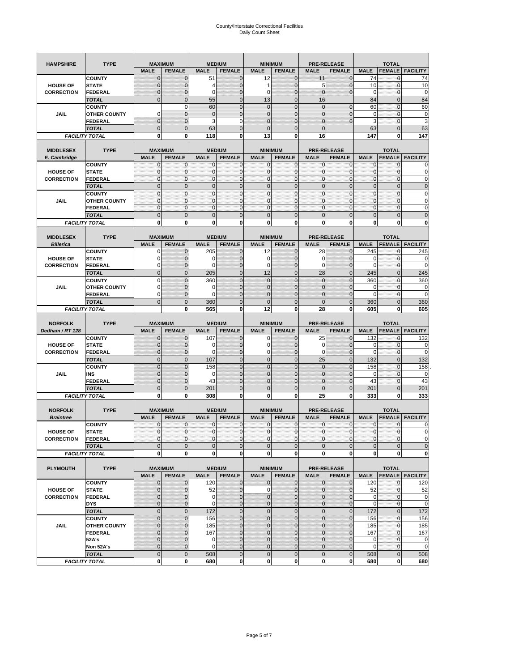| <b>HAMPSHIRE</b>                     | <b>TYPE</b>                          | <b>MAXIMUM</b>               |                                 |                  | <b>MEDIUM</b>                  | <b>MINIMUM</b> |                                 |                            | <b>PRE-RELEASE</b>                  |                  | <b>TOTAL</b>                |                        |
|--------------------------------------|--------------------------------------|------------------------------|---------------------------------|------------------|--------------------------------|----------------|---------------------------------|----------------------------|-------------------------------------|------------------|-----------------------------|------------------------|
|                                      |                                      | <b>MALE</b>                  | <b>FEMALE</b>                   | <b>MALE</b>      | <b>FEMALE</b>                  | <b>MALE</b>    | <b>FEMALE</b>                   | <b>MALE</b>                | <b>FEMALE</b>                       | <b>MALE</b>      | <b>FEMALE</b>               | <b>FACILITY</b>        |
|                                      | <b>COUNTY</b>                        | $\mathbf 0$                  | $\overline{0}$                  | 51               | $\mathbf 0$                    | 12             | $\mathbf{0}$                    | 11                         | $\overline{0}$                      | 74               | 0                           | 74                     |
| <b>HOUSE OF</b>                      | <b>STATE</b>                         | ∩                            | 0                               | 4                | $\mathbf{0}$                   | 1              | $\mathbf 0$                     | 5                          | 0                                   | 10               | $\mathbf 0$                 | 10                     |
| <b>CORRECTION</b>                    | <b>FEDERAL</b>                       | $\mathbf{0}$                 | 0                               | $\mathbf 0$      | $\mathbf{0}$                   | 0              | $\mathbf{0}$                    | $\mathbf{0}$               | $\overline{0}$                      | 0                | $\mathbf 0$                 | $\mathbf 0$            |
|                                      | <b>TOTAL</b>                         | $\overline{0}$               | $\mathbf 0$                     | 55               | $\overline{0}$                 | 13             | $\overline{0}$                  | 16                         |                                     | 84               | $\mathbf 0$                 | 84                     |
|                                      | <b>COUNTY</b>                        |                              | $\mathbf 0$                     | 60               | $\mathbf{0}$                   | 0              | $\overline{0}$                  | $\mathbf{0}$               | $\mathbf 0$                         | 60               | $\mathbf 0$                 | 60                     |
| JAIL                                 | <b>OTHER COUNTY</b>                  | 0                            | $\overline{0}$                  | $\overline{0}$   | $\mathbf{0}$                   | $\overline{0}$ | $\overline{0}$                  | 0                          | $\overline{0}$                      | $\mathbf 0$      | $\mathbf{0}$                | $\pmb{0}$              |
|                                      | <b>FEDERAL</b>                       | $\mathbf{0}$                 | $\overline{0}$                  | 3                | 0                              | $\overline{0}$ | $\overline{0}$                  | $\mathbf{0}$               | $\overline{0}$                      | 3                | $\mathbf 0$                 | 3                      |
|                                      | <b>TOTAL</b>                         | $\Omega$                     | $\overline{0}$                  | 63               | $\mathbf{0}$                   | $\mathbf 0$    | $\overline{0}$                  | $\mathbf{0}$               |                                     | 63               | $\mathbf 0$                 | 63                     |
|                                      | <b>FACILITY TOTAL</b>                | $\bf{0}$                     | 0                               | 118              | 0                              | 13             | 0                               | 16                         |                                     | 147              | 0                           | 147                    |
|                                      |                                      |                              |                                 |                  |                                |                |                                 |                            |                                     |                  |                             |                        |
| <b>MIDDLESEX</b>                     | <b>TYPE</b>                          | <b>MAXIMUM</b>               |                                 |                  | <b>MEDIUM</b>                  | <b>MINIMUM</b> |                                 |                            | <b>PRE-RELEASE</b>                  |                  | <b>TOTAL</b>                |                        |
| E. Cambridge                         |                                      | <b>MALE</b>                  | <b>FEMALE</b>                   | <b>MALE</b>      | <b>FEMALE</b>                  | <b>MALE</b>    | <b>FEMALE</b>                   | <b>MALE</b>                | <b>FEMALE</b>                       | <b>MALE</b>      | <b>FEMALE</b>               | <b>FACILITY</b>        |
|                                      | <b>COUNTY</b>                        | 0<br>$\pmb{0}$               | $\mathbf 0$<br>$\mathbf{0}$     | 0<br>$\mathbf 0$ | 0<br>$\mathbf 0$               | 0<br>0         | $\mathbf{0}$<br>$\mathbf{0}$    | $\mathbf 0$<br>$\mathbf 0$ | 0<br>0                              | 0<br>$\mathbf 0$ | $\mathbf{0}$<br>$\mathbf 0$ | 0<br>$\mathbf 0$       |
| <b>HOUSE OF</b><br><b>CORRECTION</b> | <b>STATE</b><br><b>FEDERAL</b>       | $\mathbf{0}$                 | $\mathbf{0}$                    | $\mathbf 0$      | $\mathbf{O}$                   | $\mathbf{0}$   | $\mathbf{0}$                    | $\mathbf{0}$               | $\mathbf 0$                         | $\mathbf 0$      | $\mathbf 0$                 | $\pmb{0}$              |
|                                      | <b>TOTAL</b>                         | $\mathbf{0}$                 | $\overline{0}$                  | $\overline{0}$   | $\mathbf{0}$                   | $\overline{0}$ | $\mathbf{0}$                    | $\mathbf{0}$               | $\overline{0}$                      | $\overline{0}$   | $\overline{0}$              | $\pmb{0}$              |
|                                      |                                      | $\mathbf{0}$                 | $\mathbf{0}$                    | $\mathbf 0$      | $\mathbf{O}$                   | $\mathbf{0}$   | $\mathbf{0}$                    | $\mathbf{O}$               | $\overline{0}$                      | $\mathbf 0$      | $\mathbf{0}$                | $\pmb{0}$              |
| JAIL                                 | <b>COUNTY</b><br><b>OTHER COUNTY</b> | $\Omega$                     | $\mathbf 0$                     | $\mathbf{0}$     | $\Omega$                       | $\mathbf{0}$   | $\mathbf{0}$                    | $\mathbf{0}$               | $\overline{0}$                      | $\mathbf 0$      | $\mathbf{0}$                | $\mathbf 0$            |
|                                      | <b>FEDERAL</b>                       | $\mathbf{0}$                 | $\mathbf 0$                     | $\mathbf 0$      | $\mathbf{O}$                   | 0              | $\mathbf{0}$                    | $\mathbf{O}$               | 0                                   | $\mathbf 0$      | $\mathbf 0$                 | $\mathbf 0$            |
|                                      | <b>TOTAL</b>                         | $\mathbf 0$                  | $\overline{0}$                  | $\overline{0}$   | $\mathbf{0}$                   | $\mathbf 0$    | $\mathbf 0$                     | $\mathbf{0}$               | $\overline{0}$                      | $\mathbf 0$      | $\overline{0}$              | $\mathbf 0$            |
|                                      | <b>FACILITY TOTAL</b>                | 0                            | $\bf{0}$                        | 0                | 0                              | 0              | 0                               | 0                          | 0                                   | 0                | 0                           | $\bf{0}$               |
|                                      |                                      |                              |                                 |                  |                                |                |                                 |                            |                                     |                  |                             |                        |
| <b>MIDDLESEX</b>                     | <b>TYPE</b>                          | <b>MAXIMUM</b>               |                                 |                  | <b>MEDIUM</b>                  | <b>MINIMUM</b> |                                 |                            | <b>PRE-RELEASE</b>                  |                  | <b>TOTAL</b>                |                        |
| <b>Billerica</b>                     |                                      | <b>MALE</b>                  | <b>FEMALE</b>                   | <b>MALE</b>      | <b>FEMALE</b>                  | <b>MALE</b>    | <b>FEMALE</b>                   | <b>MALE</b>                | <b>FEMALE</b>                       | <b>MALE</b>      | <b>FEMALE</b>               | <b>FACILITY</b>        |
|                                      | <b>COUNTY</b>                        | 0                            | $\overline{0}$                  | 205              | $\mathbf 0$                    | 12             | $\mathbf 0$                     | 28                         | $\overline{0}$                      | 245              | $\mathbf{0}$                | 245                    |
| <b>HOUSE OF</b>                      | <b>STATE</b>                         | 0                            | $\overline{0}$                  | 0                | $\mathbf 0$                    | 0              | $\overline{0}$                  | 0                          | $\overline{0}$                      | 0                | $\mathbf 0$                 | 0                      |
| <b>CORRECTION</b>                    | FEDERAL                              | $\Omega$                     | 0                               | 0                | $\mathbf{0}$                   | 0              | $\mathbf{0}$                    | $\mathbf 0$                | 0                                   | $\overline{0}$   | $\mathbf 0$                 | $\mathbf 0$            |
|                                      | <b>TOTAL</b>                         | $\mathbf{0}$                 | $\overline{0}$                  | 205              | $\mathbf{0}$                   | 12             | $\mathbf{0}$                    | 28                         | $\overline{0}$                      | 245              | $\overline{0}$              | 245                    |
|                                      | <b>COUNTY</b>                        | $\Omega$                     | $\overline{0}$                  | 360              | $\mathbf 0$                    | $\overline{0}$ | $\Omega$                        | $\mathbf{0}$               | $\overline{0}$                      | 360              | $\mathbf{0}$                | 360                    |
| JAIL                                 | <b>OTHER COUNTY</b>                  | $\Omega$                     | 0                               | 0                | $\overline{0}$                 | 0              | $\mathbf{0}$                    | $\overline{0}$             | 0                                   | 0                | $\mathbf{0}$                | 0                      |
|                                      | <b>FEDERAL</b>                       | 0                            | $\overline{0}$                  | $\mathbf 0$      | $\mathbf{0}$                   | $\overline{0}$ | $\overline{0}$                  | 0                          | $\overline{0}$                      | $\overline{0}$   | $\mathbf{0}$                | $\mathbf 0$            |
|                                      | <b>TOTAL</b>                         | $\Omega$                     | $\mathbf 0$                     | 360              | $\mathbf{0}$                   | $\mathbf 0$    | $\mathbf 0$                     | $\mathbf{0}$               | $\mathbf 0$                         | 360              | $\mathbf 0$                 | 360                    |
|                                      | <b>FACILITY TOTAL</b>                |                              | $\mathbf 0$                     | 565              | $\bf{0}$                       | 12             | 0                               | 28                         | 0                                   | 605              | $\bf{0}$                    | 605                    |
|                                      |                                      |                              |                                 |                  |                                |                |                                 |                            |                                     |                  |                             |                        |
|                                      |                                      |                              |                                 |                  |                                |                |                                 |                            |                                     |                  |                             |                        |
| <b>NORFOLK</b>                       | <b>TYPE</b>                          | <b>MAXIMUM</b>               |                                 |                  | <b>MEDIUM</b>                  | <b>MINIMUM</b> |                                 |                            | <b>PRE-RELEASE</b>                  |                  | <b>TOTAL</b>                |                        |
| Dedham / RT 128                      |                                      | <b>MALE</b>                  | <b>FEMALE</b>                   | <b>MALE</b>      | <b>FEMALE</b>                  | <b>MALE</b>    | <b>FEMALE</b>                   | <b>MALE</b>                | <b>FEMALE</b>                       | <b>MALE</b>      | <b>FEMALE</b>               | <b>FACILITY</b>        |
|                                      | <b>COUNTY</b>                        | $\Omega$                     | $\overline{0}$                  | 107              | 0                              | 0              | $\mathbf 0$                     | 25                         | 0                                   | 132              | 0                           | 132                    |
| <b>HOUSE OF</b>                      | <b>STATE</b>                         | $\Omega$                     | $\overline{0}$                  | 0                | $\mathbf{0}$                   | 0              | $\overline{0}$                  | 0                          | $\overline{0}$                      | 0                | 0                           | $\mathbf 0$            |
| <b>CORRECTION</b>                    | <b>FEDERAL</b>                       | $\Omega$                     | 0                               | 0                | $\mathbf{0}$                   | 0              | $\mathbf 0$                     | 0                          | 0                                   | $\mathbf 0$      | $\mathbf 0$                 | $\mathbf 0$            |
|                                      | <b>TOTAL</b>                         | $\Omega$                     | $\overline{0}$                  | 107              | $\mathbf{0}$                   | $\mathbf 0$    | $\mathbf 0$                     | 25                         | $\overline{0}$                      | 132              | $\mathbf 0$                 | 132                    |
|                                      | <b>COUNTY</b>                        | $\Omega$                     | $\overline{0}$                  | 158              | $\mathbf{0}$                   | $\overline{0}$ | $\overline{0}$                  | 0                          | $\overline{0}$                      | 158              | $\mathbf 0$                 | 158                    |
| JAIL                                 | INS                                  | $\mathbf{0}$                 | 0                               | 0                | $\overline{0}$                 | 0              | $\mathbf{0}$                    | $\overline{0}$             | 0                                   | 0                | 0                           | 0                      |
|                                      | <b>FEDERAL</b>                       | $\Omega$                     | $\overline{0}$                  | 43               | $\mathbf 0$                    | $\overline{0}$ | $\mathbf 0$                     | 0                          | $\overline{0}$                      | 43               | $\mathbf{0}$                | 43                     |
|                                      | <b>TOTAL</b>                         | $\mathbf{0}$                 | $\overline{0}$                  | 201              | $\mathbf{0}$                   | $\overline{0}$ | $\overline{0}$                  | $\Omega$                   | $\overline{0}$                      | 201              | $\overline{0}$              | 201                    |
|                                      | <b>FACILITY TOTAL</b>                | $\mathbf 0$                  | $\mathbf 0$                     | 308              | 0                              | 0              | 0                               | 25                         | 0                                   | 333              | 0                           | 333                    |
|                                      |                                      |                              |                                 |                  |                                |                |                                 |                            |                                     |                  |                             |                        |
| <b>NORFOLK</b>                       | <b>TYPE</b>                          | <b>MAXIMUM</b>               |                                 |                  | <b>MEDIUM</b>                  | <b>MINIMUM</b> |                                 |                            | <b>PRE-RELEASE</b>                  |                  | <b>TOTAL</b>                |                        |
| <b>Braintree</b>                     |                                      | <b>MALE</b>                  | <b>FEMALE</b>                   | <b>MALE</b>      | <b>FEMALE</b>                  | <b>MALE</b>    | <b>FEMALE</b>                   | <b>MALE</b>                | <b>FEMALE</b>                       | <b>MALE</b>      | <b>FEMALE</b>               | <b>FACILITY</b>        |
|                                      | <b>COUNTY</b>                        | $\mathbf 0$                  | $\mathbf 0$                     | 0                | $\mathbf{0}$                   | 0              | $\mathbf{0}$                    | $\mathbf 0$                | $\mathbf 0$                         | 0                | 0                           | 0                      |
| <b>HOUSE OF</b>                      | <b>STATE</b>                         | $\mathbf{0}$                 | $\overline{0}$                  | $\mathbf 0$      | $\overline{0}$                 | $\overline{0}$ | $\mathbf{0}$                    | $\overline{0}$             | $\mathbf{0}$                        | $\mathbf{0}$     | 0                           | $\Omega$               |
| <b>CORRECTION</b>                    | FEDERAL                              | $\mathbf 0$                  | 0                               | 0                | $\mathbf 0$                    | $\mathbf 0$    | 0                               | $\mathbf 0$                | $\mathbf 0$                         | $\pmb{0}$        | 0                           | $\mathbf 0$            |
|                                      | <b>TOTAL</b>                         | $\mathbf{0}$<br>$\mathbf{0}$ | $\mathbf 0$                     | $\mathbf 0$      | $\mathbf{0}$                   | $\bf 0$        | $\pmb{0}$<br>$\bf{0}$           | $\mathbf{0}$               | $\mathbf 0$<br>$\mathbf{0}$         | $\mathbf 0$      | $\mathbf 0$                 | $\mathbf 0$            |
|                                      | <b>FACILITY TOTAL</b>                |                              | $\mathbf{0}$                    | 0                | $\mathbf{0}$                   | $\mathbf{0}$   |                                 | $\mathbf 0$                |                                     | $\mathbf 0$      | 0                           | $\mathbf 0$            |
|                                      |                                      |                              |                                 |                  |                                |                |                                 |                            |                                     |                  |                             |                        |
| <b>PLYMOUTH</b>                      | <b>TYPE</b>                          | <b>MALE</b>                  | <b>MAXIMUM</b><br><b>FEMALE</b> | <b>MALE</b>      | <b>MEDIUM</b><br><b>FEMALE</b> | <b>MALE</b>    | <b>MINIMUM</b><br><b>FEMALE</b> | <b>MALE</b>                | <b>PRE-RELEASE</b><br><b>FEMALE</b> | <b>MALE</b>      | <b>TOTAL</b>                | <b>FEMALE</b> FACILITY |
|                                      | <b>COUNTY</b>                        | $\mathbf{0}$                 | $\mathbf{0}$                    |                  | $\mathbf{0}$                   | 0              | $\mathbf{0}$                    | $\mathbf{0}$               | 0                                   | 120              | 0                           |                        |
| <b>HOUSE OF</b>                      | <b>STATE</b>                         | $\mathbf{0}$                 | 0                               | 120<br>52        | $\mathbf{0}$                   | 0              | $\pmb{0}$                       | $\mathbf 0$                | $\overline{0}$                      | 52               | $\mathbf{0}$                | 120<br>52              |
| <b>CORRECTION</b>                    | <b>FEDERAL</b>                       | $\Omega$                     | 0                               | $\mathbf 0$      | $\mathbf{0}$                   | 0              | $\pmb{0}$                       | $\mathbf{0}$               | 0                                   | 0                | $\mathbf{0}$                | $\mathbf 0$            |
|                                      | <b>DYS</b>                           | $\mathbf{0}$                 | 0                               | $\mathbf 0$      | $\mathbf 0$                    | 0              | $\pmb{0}$                       | $\mathbf 0$                | $\overline{0}$                      | $\mathbf 0$      | $\mathbf{0}$                | $\mathbf 0$            |
|                                      | <b>TOTAL</b>                         | $\mathbf 0$                  | $\mathbf 0$                     | 172              | $\mathbf 0$                    | $\mathbf 0$    | $\mathbf 0$                     | $\mathbf 0$                | $\mathbf 0$                         | 172              | $\mathbf 0$                 | 172                    |
|                                      | <b>COUNTY</b>                        | $\overline{0}$               | 0                               | 156              | $\pmb{0}$                      | $\mathbf 0$    | $\mathbf 0$                     | $\pmb{0}$                  | $\mathbf 0$                         | 156              | $\mathbf 0$                 | 156                    |
| JAIL                                 | <b>OTHER COUNTY</b>                  | $\mathbf{0}$                 | 0                               | 185              | $\overline{0}$                 | 0              | $\mathbf{0}$                    | 0                          | $\overline{0}$                      | 185              | $\mathbf{0}$                | 185                    |
|                                      | <b>FEDERAL</b>                       | $\Omega$                     | 0                               | 167              | $\mathbf 0$                    | 0              | $\mathbf{0}$                    | 0                          | 0                                   | 167              | $\mathbf 0$                 | 167                    |
|                                      | 52A's                                | $\Omega$                     | $\overline{0}$                  | 0                | $\overline{0}$                 | $\overline{0}$ | $\mathbf 0$                     | $\overline{0}$             | $\overline{0}$                      | $\mathbf 0$      | $\mathbf 0$                 | $\mathbf 0$            |
|                                      | Non 52A's                            | $\mathbf{0}$                 | 0                               | 0                | $\mathbf{0}$                   | 0              | $\mathbf 0$                     | $\mathbf 0$                | 0                                   | 0                | $\mathbf 0$                 | $\mathbf 0$            |
|                                      | <b>TOTAL</b>                         | $\overline{0}$               | $\overline{0}$                  | 508              | $\overline{0}$                 | $\overline{0}$ | $\mathbf{0}$                    | $\mathbf{0}$               | $\mathbf 0$                         | 508              | $\mathbf 0$                 | 508                    |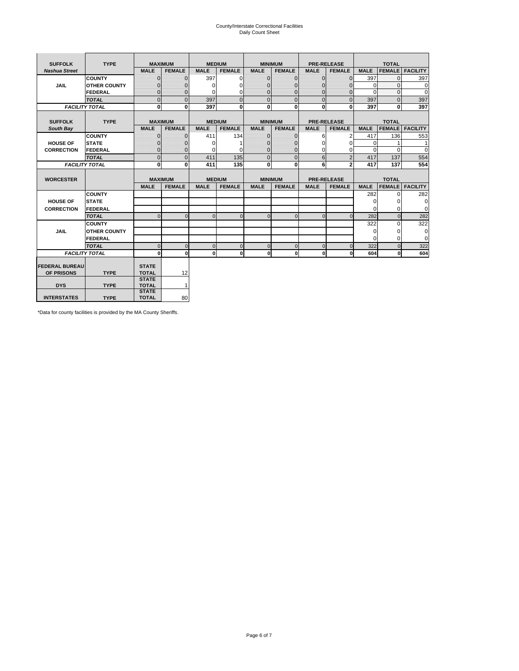# County/Interstate Correctional Facilities Daily Count Sheet

| <b>SUFFOLK</b>        | <b>TYPE</b>           |                              | <b>MAXIMUM</b> |             | <b>MEDIUM</b> |                | <b>MINIMUM</b> |              | <b>PRE-RELEASE</b> |             | <b>TOTAL</b>  |                 |
|-----------------------|-----------------------|------------------------------|----------------|-------------|---------------|----------------|----------------|--------------|--------------------|-------------|---------------|-----------------|
| <b>Nashua Street</b>  |                       | <b>MALE</b>                  | <b>FEMALE</b>  | <b>MALE</b> | <b>FEMALE</b> | <b>MALE</b>    | <b>FEMALE</b>  | <b>MALE</b>  | <b>FEMALE</b>      | <b>MALE</b> | <b>FEMALE</b> | <b>FACILITY</b> |
|                       | <b>COUNTY</b>         | $\Omega$                     | $\mathbf{0}$   | 397         | $\Omega$      | $\mathbf{0}$   | $\Omega$       | $\mathbf{0}$ | $\Omega$           | 397         | $\Omega$      | 397             |
| JAIL                  | <b>OTHER COUNTY</b>   | $\Omega$                     | $\Omega$       | $\Omega$    | 0             | $\Omega$       | $\Omega$       | $\Omega$     | $\Omega$           | $\Omega$    | $\Omega$      | 0               |
|                       | <b>FEDERAL</b>        | $\mathbf{0}$                 | $\mathbf{0}$   | 0           | 0             | $\mathbf{0}$   | $\mathbf{0}$   | $\mathbf 0$  | $\mathbf{0}$       | $\Omega$    | 0             | 0               |
|                       | <b>TOTAL</b>          | $\Omega$                     | $\Omega$       | 397         | $\Omega$      | $\overline{0}$ | $\Omega$       | $\Omega$     | $\Omega$           | 397         | $\Omega$      | 397             |
|                       | <b>FACILITY TOTAL</b> | 0                            | $\mathbf{0}$   | 397         | 0             | $\mathbf{0}$   | $\bf{0}$       | $\mathbf{0}$ | 0                  | 397         | 0             | 397             |
|                       |                       |                              |                |             |               |                |                |              |                    |             |               |                 |
| <b>SUFFOLK</b>        | <b>TYPE</b>           |                              | <b>MAXIMUM</b> |             | <b>MEDIUM</b> |                | <b>MINIMUM</b> |              | <b>PRE-RELEASE</b> |             | <b>TOTAL</b>  |                 |
| South Bay             |                       | <b>MALE</b>                  | <b>FEMALE</b>  | <b>MALE</b> | <b>FEMALE</b> | <b>MALE</b>    | <b>FEMALE</b>  | <b>MALE</b>  | <b>FEMALE</b>      | <b>MALE</b> | <b>FEMALE</b> | <b>FACILITY</b> |
|                       | <b>COUNTY</b>         | $\Omega$                     | $\mathbf{0}$   | 411         | 134           | $\mathbf{0}$   | $\mathbf{0}$   | 6            | 2                  | 417         | 136           | 553             |
| <b>HOUSE OF</b>       | <b>STATE</b>          |                              | $\overline{0}$ | $\Omega$    |               | $\Omega$       | O              | $\Omega$     | $\Omega$           | $\Omega$    |               | 1               |
| <b>CORRECTION</b>     | <b>FEDERAL</b>        | $\Omega$                     | $\overline{0}$ | 0           | $\Omega$      | $\mathbf{0}$   | $\Omega$       | $\Omega$     | 0                  | $\Omega$    | $\Omega$      | $\Omega$        |
|                       | <b>TOTAL</b>          | $\Omega$                     | $\overline{0}$ | 411         | 135           | $\mathbf 0$    | $\mathbf{0}$   | 6            | $\overline{2}$     | 417         | 137           | 554             |
|                       | <b>FACILITY TOTAL</b> | 0                            | 0              | 411         | 135           | $\mathbf{0}$   | 0              | 6            | $\overline{2}$     | 417         | 137           | 554             |
|                       |                       |                              |                |             |               |                |                |              |                    |             |               |                 |
| <b>WORCESTER</b>      |                       |                              | <b>MAXIMUM</b> |             | <b>MEDIUM</b> |                | <b>MINIMUM</b> |              | <b>PRE-RELEASE</b> |             | <b>TOTAL</b>  |                 |
|                       |                       | <b>MALE</b>                  | <b>FEMALE</b>  | <b>MALE</b> | <b>FEMALE</b> | <b>MALE</b>    | <b>FEMALE</b>  | <b>MALE</b>  | <b>FEMALE</b>      | <b>MALE</b> | <b>FEMALE</b> | <b>FACILITY</b> |
|                       | <b>COUNTY</b>         |                              |                |             |               |                |                |              |                    | 282         | $\Omega$      | 282             |
| <b>HOUSE OF</b>       | <b>STATE</b>          |                              |                |             |               |                |                |              |                    | 0           | 0             | 0               |
| <b>CORRECTION</b>     | FEDERAL               |                              |                |             |               |                |                |              |                    | $\Omega$    | $\Omega$      | 0               |
|                       | <b>TOTAL</b>          | $\Omega$                     | $\mathbf{0}$   | $\Omega$    | $\mathbf 0$   | $\mathbf{0}$   | $\mathbf{0}$   | $\mathbf{0}$ | $\Omega$           | 282         | $\mathbf{0}$  | 282             |
|                       | <b>COUNTY</b>         |                              |                |             |               |                |                |              |                    | 322         | $\Omega$      | 322             |
| <b>JAIL</b>           | <b>OTHER COUNTY</b>   |                              |                |             |               |                |                |              |                    | $\Omega$    | $\Omega$      | 0               |
|                       | FEDERAL               |                              |                |             |               |                |                |              |                    | $\Omega$    | $\Omega$      | $\mathbf 0$     |
|                       | <b>TOTAL</b>          | $\cap$                       | $\Omega$       | $\Omega$    | $\mathbf{0}$  | $\mathbf{0}$   | $\Omega$       | $\Omega$     | $\Omega$           | 322         | $\Omega$      | 322             |
|                       | <b>FACILITY TOTAL</b> | $\Omega$                     | 0              | $\Omega$    | 0             | $\mathbf{0}$   | $\bf{0}$       | $\mathbf 0$  | 0                  | 604         | O             | 604             |
|                       |                       |                              |                |             |               |                |                |              |                    |             |               |                 |
| <b>FEDERAL BUREAU</b> |                       | <b>STATE</b>                 |                |             |               |                |                |              |                    |             |               |                 |
| OF PRISONS            | <b>TYPE</b>           | <b>TOTAL</b>                 | 12             |             |               |                |                |              |                    |             |               |                 |
|                       |                       |                              |                |             |               |                |                |              |                    |             |               |                 |
|                       |                       | <b>STATE</b>                 |                |             |               |                |                |              |                    |             |               |                 |
| <b>DYS</b>            | <b>TYPE</b>           | <b>TOTAL</b><br><b>STATE</b> | $\mathbf{1}$   |             |               |                |                |              |                    |             |               |                 |

\*Data for county facilities is provided by the MA County Sheriffs.